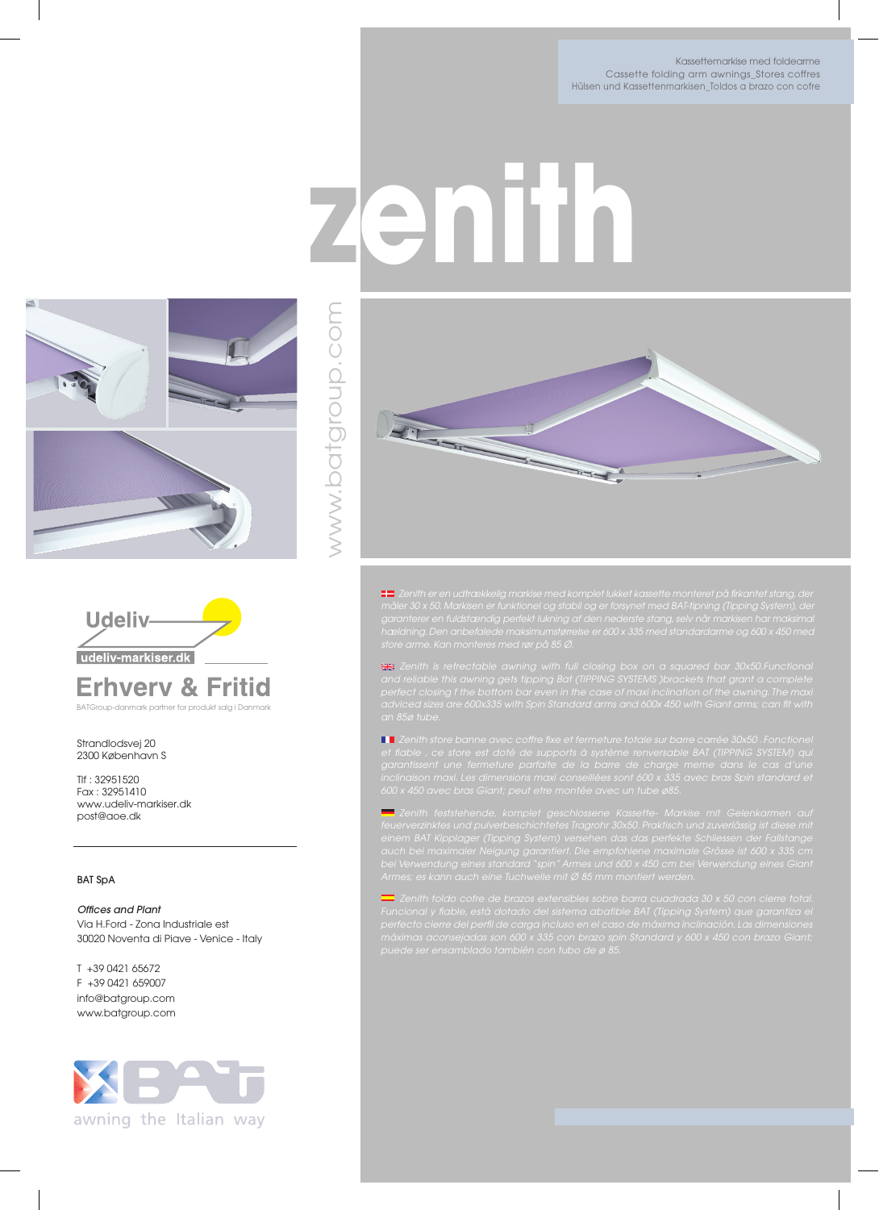Kassettemarkise med foldearme Cassette folding arm awnings\_Stores coffres Hülsen und Kassettenmarkisen\_Toldos a brazo con cofre



BATGroup-danmark partner for produkt salg i Danmark

Strandlodsvej 20 2300 København S

Tlf : 32951520 Fax : 32951410 www.udeliv-markiser.dk post@aoe.dk

## BAT SpA

*Offices and Plant* Via H.Ford - Zona Industriale est 30020 Noventa di Piave - Venice - Italy

T +39 0421 65672 F +39 0421 659007 info@batgroup.com www.batgroup.com





**zenith**

 *Zenith er en udtrækkelig markise med komplet lukket kassette monteret på firkantet stang, der* 

 *Zenith store banne avec coffre fixe et fermeture totale sur barre carrée 30x50 . Fonctionel et fiable , ce store est doté de supports à système renversable BAT (TIPPING SYSTEM) qui* 

 *Zenith feststehende, komplet geschlossene Kassette- Markise mit Gelenkarmen auf*